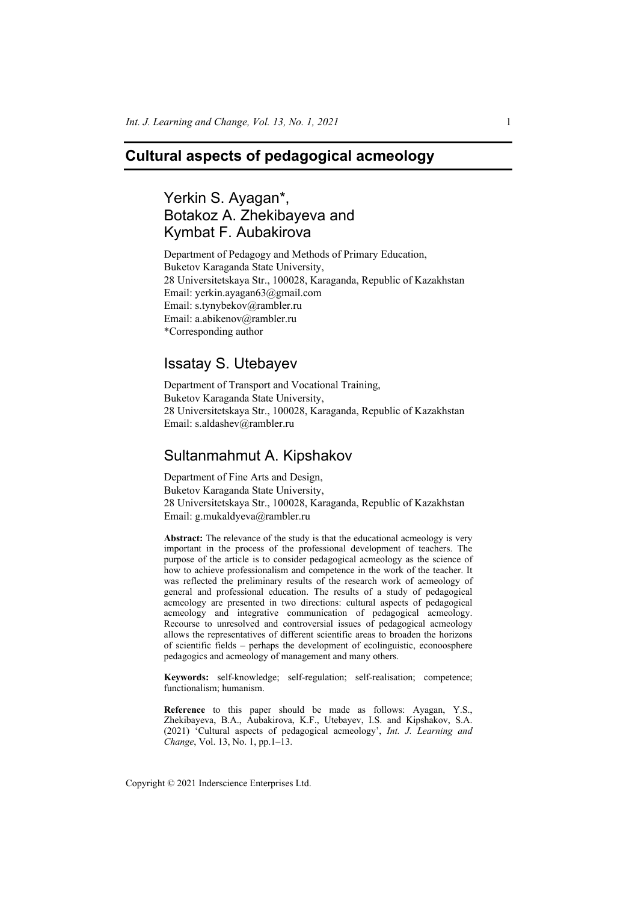# **Cultural aspects of pedagogical acmeology**

# Yerkin S. Ayagan\*, Botakoz A. Zhekibayeva and Kymbat F. Aubakirova

Department of Pedagogy and Methods of Primary Education, Buketov Karaganda State University, 28 Universitetskaya Str., 100028, Karaganda, Republic of Kazakhstan Email: yerkin.ayagan63@gmail.com Email: s.tynybekov@rambler.ru Email: a.abikenov@rambler.ru \*Corresponding author

# Issatay S. Utebayev

Department of Transport and Vocational Training, Buketov Karaganda State University, 28 Universitetskaya Str., 100028, Karaganda, Republic of Kazakhstan Email: s.aldashev@rambler.ru

## Sultanmahmut A. Kipshakov

Department of Fine Arts and Design, Buketov Karaganda State University, 28 Universitetskaya Str., 100028, Karaganda, Republic of Kazakhstan Email: g.mukaldyeva@rambler.ru

**Abstract:** The relevance of the study is that the educational acmeology is very important in the process of the professional development of teachers. The purpose of the article is to consider pedagogical acmeology as the science of how to achieve professionalism and competence in the work of the teacher. It was reflected the preliminary results of the research work of acmeology of general and professional education. The results of a study of pedagogical acmeology are presented in two directions: cultural aspects of pedagogical acmeology and integrative communication of pedagogical acmeology. Recourse to unresolved and controversial issues of pedagogical acmeology allows the representatives of different scientific areas to broaden the horizons of scientific fields – perhaps the development of ecolinguistic, econoosphere pedagogics and acmeology of management and many others.

**Keywords:** self-knowledge; self-regulation; self-realisation; competence; functionalism; humanism.

**Reference** to this paper should be made as follows: Ayagan, Y.S., Zhekibayeva, B.A., Aubakirova, K.F., Utebayev, I.S. and Kipshakov, S.A. (2021) 'Cultural aspects of pedagogical acmeology', *Int. J. Learning and Change*, Vol. 13, No. 1, pp.1–13.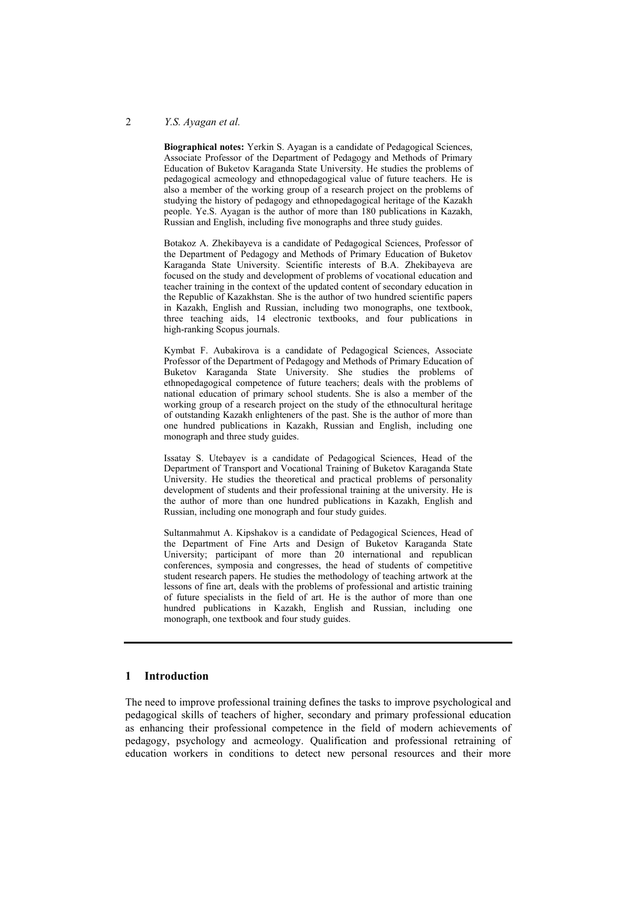#### 2 *Y.S. Ayagan et al.*

**Biographical notes:** Yerkin S. Ayagan is a candidate of Pedagogical Sciences, Associate Professor of the Department of Pedagogy and Methods of Primary Education of Buketov Karaganda State University. He studies the problems of pedagogical acmeology and ethnopedagogical value of future teachers. He is also a member of the working group of a research project on the problems of studying the history of pedagogy and ethnopedagogical heritage of the Kazakh people. Ye.S. Ayagan is the author of more than 180 publications in Kazakh, Russian and English, including five monographs and three study guides.

Botakoz A. Zhekibayeva is a candidate of Pedagogical Sciences, Professor of the Department of Pedagogy and Methods of Primary Education of Buketov Karaganda State University. Scientific interests of B.A. Zhekibayeva are focused on the study and development of problems of vocational education and teacher training in the context of the updated content of secondary education in the Republic of Kazakhstan. She is the author of two hundred scientific papers in Kazakh, English and Russian, including two monographs, one textbook, three teaching aids, 14 electronic textbooks, and four publications in high-ranking Scopus journals.

Kymbat F. Aubakirova is a candidate of Pedagogical Sciences, Associate Professor of the Department of Pedagogy and Methods of Primary Education of Buketov Karaganda State University. She studies the problems of ethnopedagogical competence of future teachers; deals with the problems of national education of primary school students. She is also a member of the working group of a research project on the study of the ethnocultural heritage of outstanding Kazakh enlighteners of the past. She is the author of more than one hundred publications in Kazakh, Russian and English, including one monograph and three study guides.

Issatay S. Utebayev is a candidate of Pedagogical Sciences, Head of the Department of Transport and Vocational Training of Buketov Karaganda State University. He studies the theoretical and practical problems of personality development of students and their professional training at the university. He is the author of more than one hundred publications in Kazakh, English and Russian, including one monograph and four study guides.

Sultanmahmut A. Kipshakov is a candidate of Pedagogical Sciences, Head of the Department of Fine Arts and Design of Buketov Karaganda State University; participant of more than 20 international and republican conferences, symposia and congresses, the head of students of competitive student research papers. He studies the methodology of teaching artwork at the lessons of fine art, deals with the problems of professional and artistic training of future specialists in the field of art. He is the author of more than one hundred publications in Kazakh, English and Russian, including one monograph, one textbook and four study guides.

## **1 Introduction**

The need to improve professional training defines the tasks to improve psychological and pedagogical skills of teachers of higher, secondary and primary professional education as enhancing their professional competence in the field of modern achievements of pedagogy, psychology and acmeology. Qualification and professional retraining of education workers in conditions to detect new personal resources and their more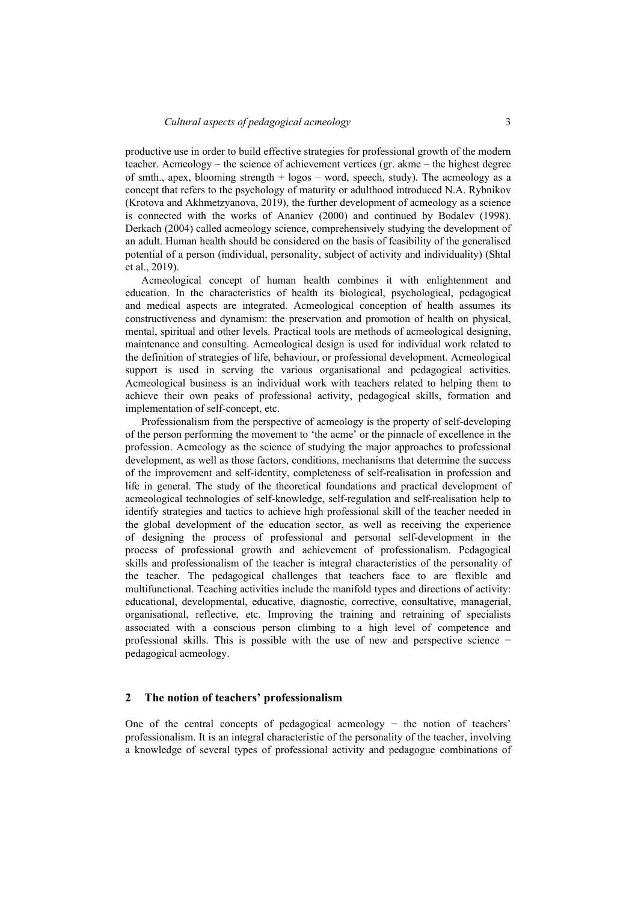productive use in order to build effective strategies for professional growth of the modern teacher. Acmeology – the science of achievement vertices (gr. akme – the highest degree of smth., apex, blooming strength  $+$  logos  $-$  word, speech, study). The acmeology as a concept that refers to the psychology of maturity or adulthood introduced N.A. Rybnikov (Krotova and Akhmetzyanova, 2019), the further development of acmeology as a science is connected with the works of Ananiev (2000) and continued by Bodalev (1998). Derkach (2004) called acmeology science, comprehensively studying the development of an adult. Human health should be considered on the basis of feasibility of the generalised potential of a person (individual, personality, subject of activity and individuality) (Shtal et al., 2019).

Acmeological concept of human health combines it with enlightenment and education. In the characteristics of health its biological, psychological, pedagogical and medical aspects are integrated. Acmeological conception of health assumes its constructiveness and dynamism: the preservation and promotion of health on physical, mental, spiritual and other levels. Practical tools are methods of acmeological designing, maintenance and consulting. Acmeological design is used for individual work related to the definition of strategies of life, behaviour, or professional development. Acmeological support is used in serving the various organisational and pedagogical activities. Acmeological business is an individual work with teachers related to helping them to achieve their own peaks of professional activity, pedagogical skills, formation and implementation of self-concept, etc.

Professionalism from the perspective of acmeology is the property of self-developing of the person performing the movement to 'the acme' or the pinnacle of excellence in the profession. Acmeology as the science of studying the major approaches to professional development, as well as those factors, conditions, mechanisms that determine the success of the improvement and self-identity, completeness of self-realisation in profession and life in general. The study of the theoretical foundations and practical development of acmeological technologies of self-knowledge, self-regulation and self-realisation help to identify strategies and tactics to achieve high professional skill of the teacher needed in the global development of the education sector, as well as receiving the experience of designing the process of professional and personal self-development in the process of professional growth and achievement of professionalism. Pedagogical skills and professionalism of the teacher is integral characteristics of the personality of the teacher. The pedagogical challenges that teachers face to are flexible and multifunctional. Teaching activities include the manifold types and directions of activity: educational, developmental, educative, diagnostic, corrective, consultative, managerial, organisational, reflective, etc. Improving the training and retraining of specialists associated with a conscious person climbing to a high level of competence and professional skills. This is possible with the use of new and perspective science − pedagogical acmeology.

#### **2 The notion of teachers' professionalism**

One of the central concepts of pedagogical acmeology − the notion of teachers' professionalism. It is an integral characteristic of the personality of the teacher, involving a knowledge of several types of professional activity and pedagogue combinations of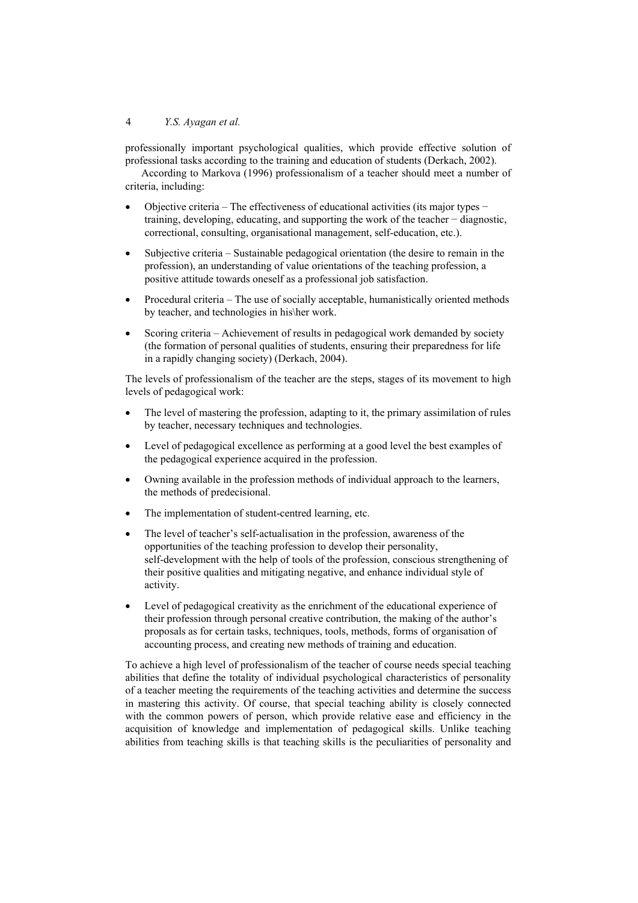professionally important psychological qualities, which provide effective solution of professional tasks according to the training and education of students (Derkach, 2002).

According to Markova (1996) professionalism of a teacher should meet a number of criteria, including:

- Objective criteria ‒ The effectiveness of educational activities (its major types − training, developing, educating, and supporting the work of the teacher − diagnostic, correctional, consulting, organisational management, self-education, etc.).
- Subjective criteria Sustainable pedagogical orientation (the desire to remain in the profession), an understanding of value orientations of the teaching profession, a positive attitude towards oneself as a professional job satisfaction.
- Procedural criteria The use of socially acceptable, humanistically oriented methods by teacher, and technologies in his\her work.
- Scoring criteria Achievement of results in pedagogical work demanded by society (the formation of personal qualities of students, ensuring their preparedness for life in a rapidly changing society) (Derkach, 2004).

The levels of professionalism of the teacher are the steps, stages of its movement to high levels of pedagogical work:

- The level of mastering the profession, adapting to it, the primary assimilation of rules by teacher, necessary techniques and technologies.
- Level of pedagogical excellence as performing at a good level the best examples of the pedagogical experience acquired in the profession.
- Owning available in the profession methods of individual approach to the learners, the methods of predecisional.
- The implementation of student-centred learning, etc.
- The level of teacher's self-actualisation in the profession, awareness of the opportunities of the teaching profession to develop their personality, self-development with the help of tools of the profession, conscious strengthening of their positive qualities and mitigating negative, and enhance individual style of activity.
- Level of pedagogical creativity as the enrichment of the educational experience of their profession through personal creative contribution, the making of the author's proposals as for certain tasks, techniques, tools, methods, forms of organisation of accounting process, and creating new methods of training and education.

To achieve a high level of professionalism of the teacher of course needs special teaching abilities that define the totality of individual psychological characteristics of personality of a teacher meeting the requirements of the teaching activities and determine the success in mastering this activity. Of course, that special teaching ability is closely connected with the common powers of person, which provide relative ease and efficiency in the acquisition of knowledge and implementation of pedagogical skills. Unlike teaching abilities from teaching skills is that teaching skills is the peculiarities of personality and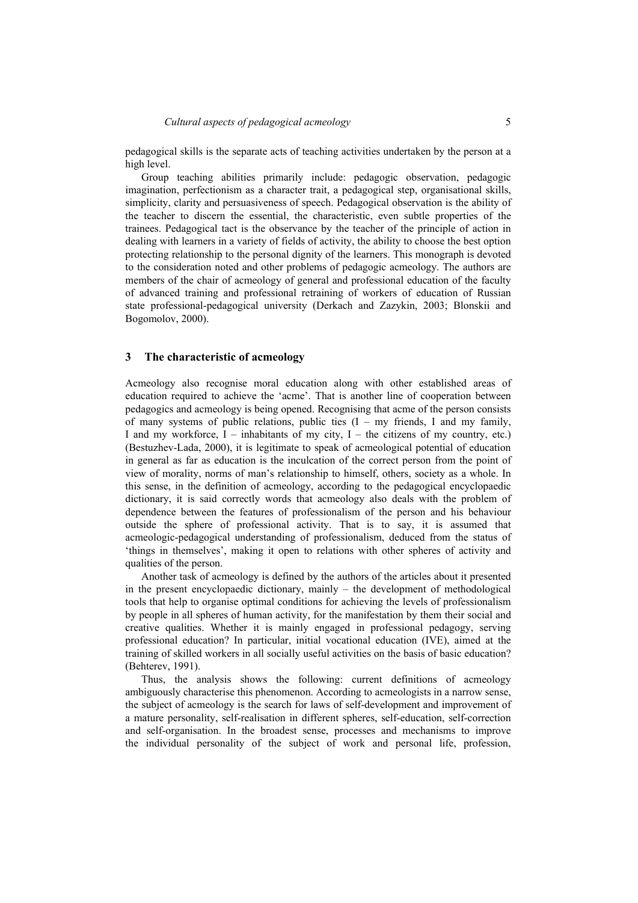pedagogical skills is the separate acts of teaching activities undertaken by the person at a high level.

Group teaching abilities primarily include: pedagogic observation, pedagogic imagination, perfectionism as a character trait, a pedagogical step, organisational skills, simplicity, clarity and persuasiveness of speech. Pedagogical observation is the ability of the teacher to discern the essential, the characteristic, even subtle properties of the trainees. Pedagogical tact is the observance by the teacher of the principle of action in dealing with learners in a variety of fields of activity, the ability to choose the best option protecting relationship to the personal dignity of the learners. This monograph is devoted to the consideration noted and other problems of pedagogic acmeology. The authors are members of the chair of acmeology of general and professional education of the faculty of advanced training and professional retraining of workers of education of Russian state professional-pedagogical university (Derkach and Zazykin, 2003; Blonskii and Bogomolov, 2000).

#### **3 The characteristic of acmeology**

Acmeology also recognise moral education along with other established areas of education required to achieve the 'acme'. That is another line of cooperation between pedagogics and acmeology is being opened. Recognising that acme of the person consists of many systems of public relations, public ties  $(I - my$  friends, I and my family, I and my workforce,  $I$  – inhabitants of my city, I – the citizens of my country, etc.) (Bestuzhev-Lada, 2000), it is legitimate to speak of acmeological potential of education in general as far as education is the inculcation of the correct person from the point of view of morality, norms of man's relationship to himself, others, society as a whole. In this sense, in the definition of acmeology, according to the pedagogical encyclopaedic dictionary, it is said correctly words that acmeology also deals with the problem of dependence between the features of professionalism of the person and his behaviour outside the sphere of professional activity. That is to say, it is assumed that acmeologic-pedagogical understanding of professionalism, deduced from the status of 'things in themselves', making it open to relations with other spheres of activity and qualities of the person.

Another task of acmeology is defined by the authors of the articles about it presented in the present encyclopaedic dictionary, mainly – the development of methodological tools that help to organise optimal conditions for achieving the levels of professionalism by people in all spheres of human activity, for the manifestation by them their social and creative qualities. Whether it is mainly engaged in professional pedagogy, serving professional education? In particular, initial vocational education (IVE), aimed at the training of skilled workers in all socially useful activities on the basis of basic education? (Behterev, 1991).

Thus, the analysis shows the following: current definitions of acmeology ambiguously characterise this phenomenon. According to acmeologists in a narrow sense, the subject of acmeology is the search for laws of self-development and improvement of a mature personality, self-realisation in different spheres, self-education, self-correction and self-organisation. In the broadest sense, processes and mechanisms to improve the individual personality of the subject of work and personal life, profession,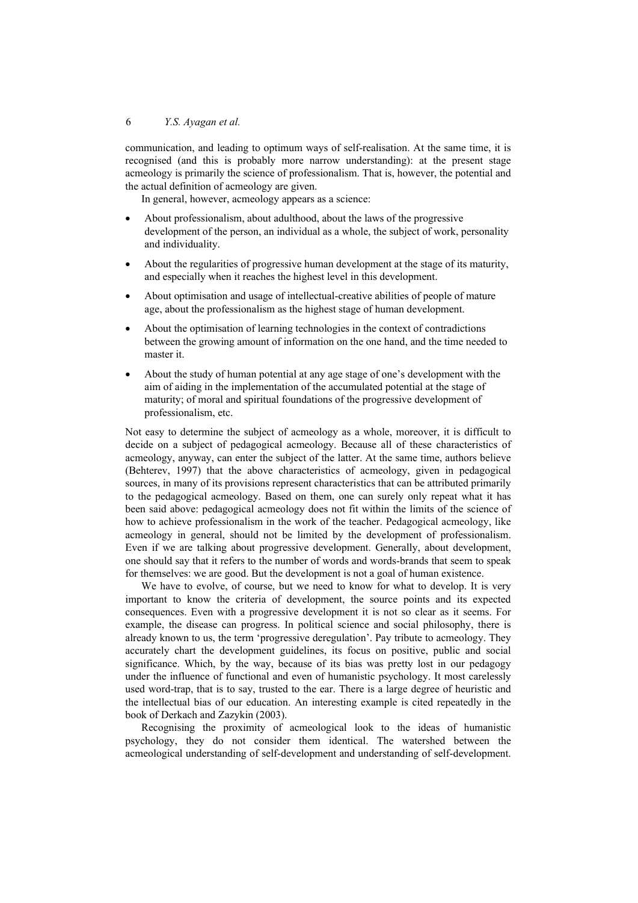communication, and leading to optimum ways of self-realisation. At the same time, it is recognised (and this is probably more narrow understanding): at the present stage acmeology is primarily the science of professionalism. That is, however, the potential and the actual definition of acmeology are given.

In general, however, acmeology appears as a science:

- About professionalism, about adulthood, about the laws of the progressive development of the person, an individual as a whole, the subject of work, personality and individuality.
- About the regularities of progressive human development at the stage of its maturity, and especially when it reaches the highest level in this development.
- About optimisation and usage of intellectual-creative abilities of people of mature age, about the professionalism as the highest stage of human development.
- About the optimisation of learning technologies in the context of contradictions between the growing amount of information on the one hand, and the time needed to master it.
- About the study of human potential at any age stage of one's development with the aim of aiding in the implementation of the accumulated potential at the stage of maturity; of moral and spiritual foundations of the progressive development of professionalism, etc.

Not easy to determine the subject of acmeology as a whole, moreover, it is difficult to decide on a subject of pedagogical acmeology. Because all of these characteristics of acmeology, anyway, can enter the subject of the latter. At the same time, authors believe (Behterev, 1997) that the above characteristics of acmeology, given in pedagogical sources, in many of its provisions represent characteristics that can be attributed primarily to the pedagogical acmeology. Based on them, one can surely only repeat what it has been said above: pedagogical acmeology does not fit within the limits of the science of how to achieve professionalism in the work of the teacher. Pedagogical acmeology, like acmeology in general, should not be limited by the development of professionalism. Even if we are talking about progressive development. Generally, about development, one should say that it refers to the number of words and words-brands that seem to speak for themselves: we are good. But the development is not a goal of human existence.

We have to evolve, of course, but we need to know for what to develop. It is very important to know the criteria of development, the source points and its expected consequences. Even with a progressive development it is not so clear as it seems. For example, the disease can progress. In political science and social philosophy, there is already known to us, the term 'progressive deregulation'. Pay tribute to acmeology. They accurately chart the development guidelines, its focus on positive, public and social significance. Which, by the way, because of its bias was pretty lost in our pedagogy under the influence of functional and even of humanistic psychology. It most carelessly used word-trap, that is to say, trusted to the ear. There is a large degree of heuristic and the intellectual bias of our education. An interesting example is cited repeatedly in the book of Derkach and Zazykin (2003).

Recognising the proximity of acmeological look to the ideas of humanistic psychology, they do not consider them identical. The watershed between the acmeological understanding of self-development and understanding of self-development.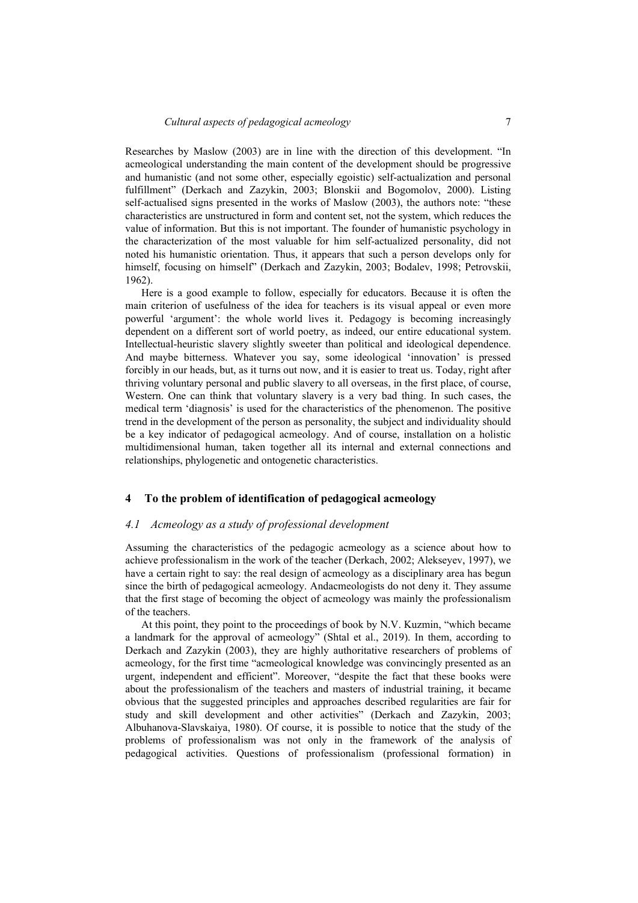Researches by Maslow (2003) are in line with the direction of this development. "In acmeological understanding the main content of the development should be progressive and humanistic (and not some other, especially egoistic) self-actualization and personal fulfillment" (Derkach and Zazykin, 2003; Blonskii and Bogomolov, 2000). Listing self-actualised signs presented in the works of Maslow (2003), the authors note: "these characteristics are unstructured in form and content set, not the system, which reduces the value of information. But this is not important. The founder of humanistic psychology in the characterization of the most valuable for him self-actualized personality, did not noted his humanistic orientation. Thus, it appears that such a person develops only for himself, focusing on himself" (Derkach and Zazykin, 2003; Bodalev, 1998; Petrovskii, 1962).

Here is a good example to follow, especially for educators. Because it is often the main criterion of usefulness of the idea for teachers is its visual appeal or even more powerful 'argument': the whole world lives it. Pedagogy is becoming increasingly dependent on a different sort of world poetry, as indeed, our entire educational system. Intellectual-heuristic slavery slightly sweeter than political and ideological dependence. And maybe bitterness. Whatever you say, some ideological 'innovation' is pressed forcibly in our heads, but, as it turns out now, and it is easier to treat us. Today, right after thriving voluntary personal and public slavery to all overseas, in the first place, of course, Western. One can think that voluntary slavery is a very bad thing. In such cases, the medical term 'diagnosis' is used for the characteristics of the phenomenon. The positive trend in the development of the person as personality, the subject and individuality should be a key indicator of pedagogical acmeology. And of course, installation on a holistic multidimensional human, taken together all its internal and external connections and relationships, phylogenetic and ontogenetic characteristics.

#### **4 To the problem of identification of pedagogical acmeology**

### *4.1 Acmeology as a study of professional development*

Assuming the characteristics of the pedagogic acmeology as a science about how to achieve professionalism in the work of the teacher (Derkach, 2002; Alekseyev, 1997), we have a certain right to say: the real design of acmeology as a disciplinary area has begun since the birth of pedagogical acmeology. Andacmeologists do not deny it. They assume that the first stage of becoming the object of acmeology was mainly the professionalism of the teachers.

At this point, they point to the proceedings of book by N.V. Kuzmin, "which became a landmark for the approval of acmeology" (Shtal et al., 2019). In them, according to Derkach and Zazykin (2003), they are highly authoritative researchers of problems of acmeology, for the first time "acmeological knowledge was convincingly presented as an urgent, independent and efficient". Moreover, "despite the fact that these books were about the professionalism of the teachers and masters of industrial training, it became obvious that the suggested principles and approaches described regularities are fair for study and skill development and other activities" (Derkach and Zazykin, 2003; Albuhanova-Slavskaiya, 1980). Of course, it is possible to notice that the study of the problems of professionalism was not only in the framework of the analysis of pedagogical activities. Questions of professionalism (professional formation) in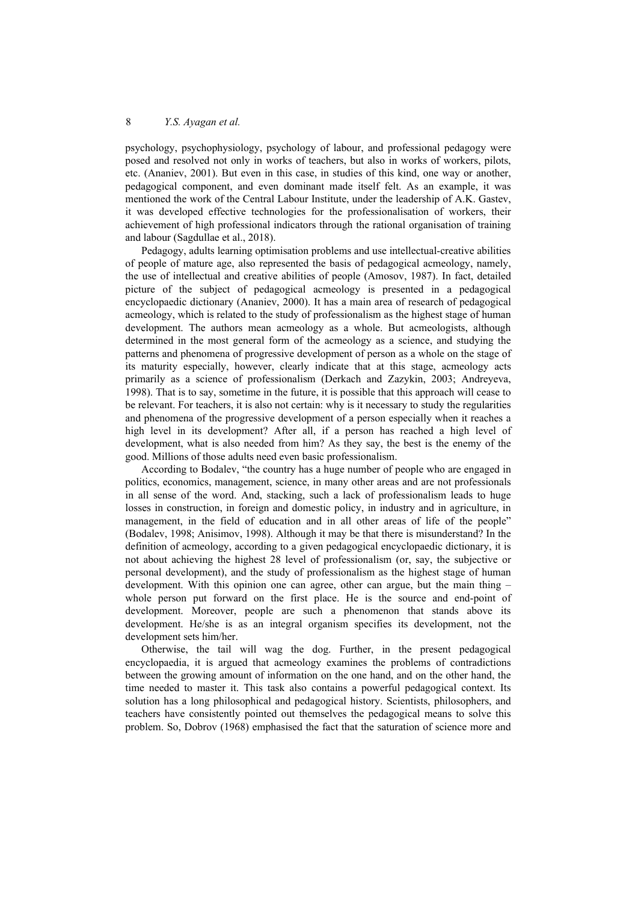psychology, psychophysiology, psychology of labour, and professional pedagogy were posed and resolved not only in works of teachers, but also in works of workers, pilots, etc. (Ananiev, 2001). But even in this case, in studies of this kind, one way or another, pedagogical component, and even dominant made itself felt. As an example, it was mentioned the work of the Central Labour Institute, under the leadership of A.K. Gastev, it was developed effective technologies for the professionalisation of workers, their achievement of high professional indicators through the rational organisation of training and labour (Sagdullae et al., 2018).

Pedagogy, adults learning optimisation problems and use intellectual-creative abilities of people of mature age, also represented the basis of pedagogical acmeology, namely, the use of intellectual and creative abilities of people (Amosov, 1987). In fact, detailed picture of the subject of pedagogical acmeology is presented in a pedagogical encyclopaedic dictionary (Ananiev, 2000). It has a main area of research of pedagogical acmeology, which is related to the study of professionalism as the highest stage of human development. The authors mean acmeology as a whole. But acmeologists, although determined in the most general form of the acmeology as a science, and studying the patterns and phenomena of progressive development of person as a whole on the stage of its maturity especially, however, clearly indicate that at this stage, acmeology acts primarily as a science of professionalism (Derkach and Zazykin, 2003; Andreyeva, 1998). That is to say, sometime in the future, it is possible that this approach will cease to be relevant. For teachers, it is also not certain: why is it necessary to study the regularities and phenomena of the progressive development of a person especially when it reaches a high level in its development? After all, if a person has reached a high level of development, what is also needed from him? As they say, the best is the enemy of the good. Millions of those adults need even basic professionalism.

According to Bodalev, "the country has a huge number of people who are engaged in politics, economics, management, science, in many other areas and are not professionals in all sense of the word. And, stacking, such a lack of professionalism leads to huge losses in construction, in foreign and domestic policy, in industry and in agriculture, in management, in the field of education and in all other areas of life of the people" (Bodalev, 1998; Anisimov, 1998). Although it may be that there is misunderstand? In the definition of acmeology, according to a given pedagogical encyclopaedic dictionary, it is not about achieving the highest 28 level of professionalism (or, say, the subjective or personal development), and the study of professionalism as the highest stage of human development. With this opinion one can agree, other can argue, but the main thing – whole person put forward on the first place. He is the source and end-point of development. Moreover, people are such a phenomenon that stands above its development. He/she is as an integral organism specifies its development, not the development sets him/her.

Otherwise, the tail will wag the dog. Further, in the present pedagogical encyclopaedia, it is argued that acmeology examines the problems of contradictions between the growing amount of information on the one hand, and on the other hand, the time needed to master it. This task also contains a powerful pedagogical context. Its solution has a long philosophical and pedagogical history. Scientists, philosophers, and teachers have consistently pointed out themselves the pedagogical means to solve this problem. So, Dobrov (1968) emphasised the fact that the saturation of science more and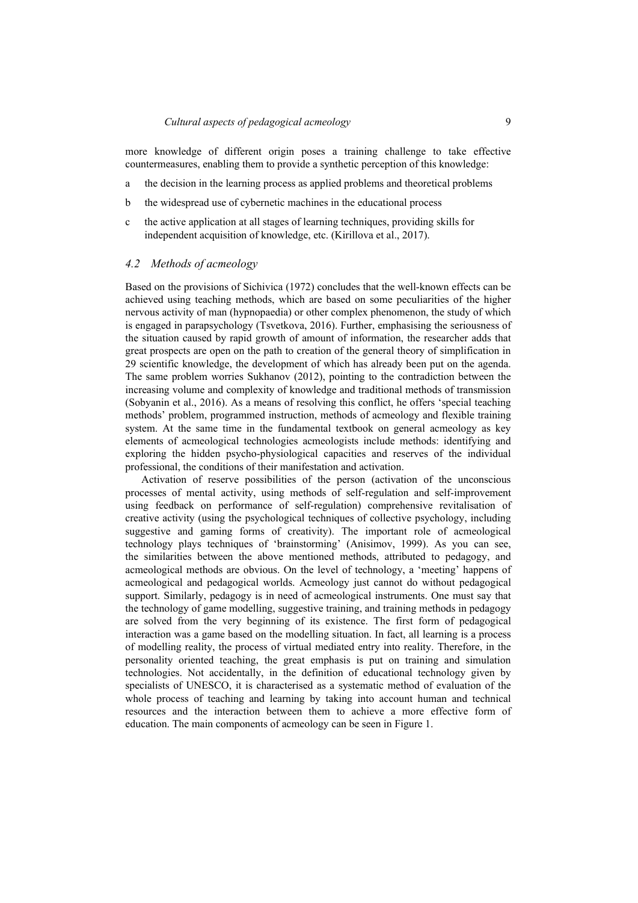more knowledge of different origin poses a training challenge to take effective countermeasures, enabling them to provide a synthetic perception of this knowledge:

- a the decision in the learning process as applied problems and theoretical problems
- b the widespread use of cybernetic machines in the educational process
- c the active application at all stages of learning techniques, providing skills for independent acquisition of knowledge, etc. (Kirillova et al., 2017).

#### *4.2 Methods of acmeology*

Based on the provisions of Sichivica (1972) concludes that the well-known effects can be achieved using teaching methods, which are based on some peculiarities of the higher nervous activity of man (hypnopaedia) or other complex phenomenon, the study of which is engaged in parapsychology (Tsvetkova, 2016). Further, emphasising the seriousness of the situation caused by rapid growth of amount of information, the researcher adds that great prospects are open on the path to creation of the general theory of simplification in 29 scientific knowledge, the development of which has already been put on the agenda. The same problem worries Sukhanov (2012), pointing to the contradiction between the increasing volume and complexity of knowledge and traditional methods of transmission (Sobyanin et al., 2016). As a means of resolving this conflict, he offers 'special teaching methods' problem, programmed instruction, methods of acmeology and flexible training system. At the same time in the fundamental textbook on general acmeology as key elements of acmeological technologies acmeologists include methods: identifying and exploring the hidden psycho-physiological capacities and reserves of the individual professional, the conditions of their manifestation and activation.

Activation of reserve possibilities of the person (activation of the unconscious processes of mental activity, using methods of self-regulation and self-improvement using feedback on performance of self-regulation) comprehensive revitalisation of creative activity (using the psychological techniques of collective psychology, including suggestive and gaming forms of creativity). The important role of acmeological technology plays techniques of 'brainstorming' (Anisimov, 1999). As you can see, the similarities between the above mentioned methods, attributed to pedagogy, and acmeological methods are obvious. On the level of technology, a 'meeting' happens of acmeological and pedagogical worlds. Acmeology just cannot do without pedagogical support. Similarly, pedagogy is in need of acmeological instruments. One must say that the technology of game modelling, suggestive training, and training methods in pedagogy are solved from the very beginning of its existence. The first form of pedagogical interaction was a game based on the modelling situation. In fact, all learning is a process of modelling reality, the process of virtual mediated entry into reality. Therefore, in the personality oriented teaching, the great emphasis is put on training and simulation technologies. Not accidentally, in the definition of educational technology given by specialists of UNESCO, it is characterised as a systematic method of evaluation of the whole process of teaching and learning by taking into account human and technical resources and the interaction between them to achieve a more effective form of education. The main components of acmeology can be seen in Figure 1.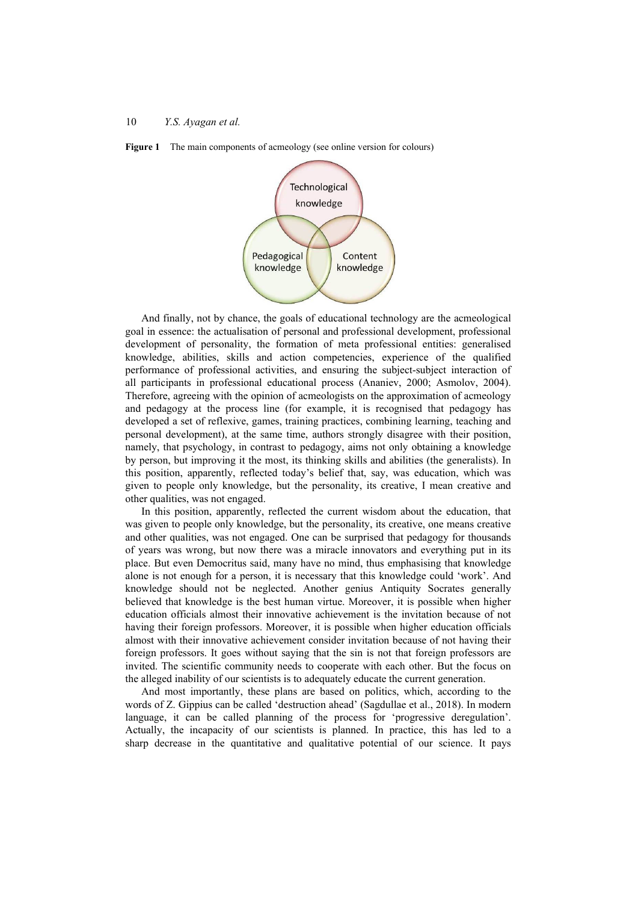



And finally, not by chance, the goals of educational technology are the acmeological goal in essence: the actualisation of personal and professional development, professional development of personality, the formation of meta professional entities: generalised knowledge, abilities, skills and action competencies, experience of the qualified performance of professional activities, and ensuring the subject-subject interaction of all participants in professional educational process (Ananiev, 2000; Asmolov, 2004). Therefore, agreeing with the opinion of acmeologists on the approximation of acmeology and pedagogy at the process line (for example, it is recognised that pedagogy has developed a set of reflexive, games, training practices, combining learning, teaching and personal development), at the same time, authors strongly disagree with their position, namely, that psychology, in contrast to pedagogy, aims not only obtaining a knowledge by person, but improving it the most, its thinking skills and abilities (the generalists). In this position, apparently, reflected today's belief that, say, was education, which was given to people only knowledge, but the personality, its creative, I mean creative and other qualities, was not engaged.

In this position, apparently, reflected the current wisdom about the education, that was given to people only knowledge, but the personality, its creative, one means creative and other qualities, was not engaged. One can be surprised that pedagogy for thousands of years was wrong, but now there was a miracle innovators and everything put in its place. But even Democritus said, many have no mind, thus emphasising that knowledge alone is not enough for a person, it is necessary that this knowledge could 'work'. And knowledge should not be neglected. Another genius Antiquity Socrates generally believed that knowledge is the best human virtue. Moreover, it is possible when higher education officials almost their innovative achievement is the invitation because of not having their foreign professors. Moreover, it is possible when higher education officials almost with their innovative achievement consider invitation because of not having their foreign professors. It goes without saying that the sin is not that foreign professors are invited. The scientific community needs to cooperate with each other. But the focus on the alleged inability of our scientists is to adequately educate the current generation.

And most importantly, these plans are based on politics, which, according to the words of Z. Gippius can be called 'destruction ahead' (Sagdullae et al., 2018). In modern language, it can be called planning of the process for 'progressive deregulation'. Actually, the incapacity of our scientists is planned. In practice, this has led to a sharp decrease in the quantitative and qualitative potential of our science. It pays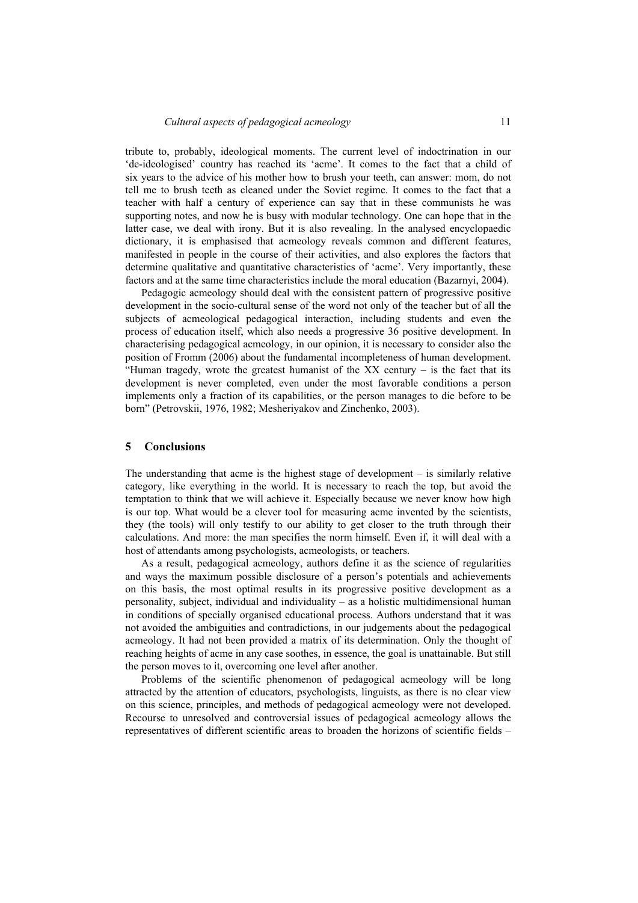tribute to, probably, ideological moments. The current level of indoctrination in our 'de-ideologised' country has reached its 'acme'. It comes to the fact that a child of six years to the advice of his mother how to brush your teeth, can answer: mom, do not tell me to brush teeth as cleaned under the Soviet regime. It comes to the fact that a teacher with half a century of experience can say that in these communists he was supporting notes, and now he is busy with modular technology. One can hope that in the latter case, we deal with irony. But it is also revealing. In the analysed encyclopaedic dictionary, it is emphasised that acmeology reveals common and different features, manifested in people in the course of their activities, and also explores the factors that determine qualitative and quantitative characteristics of 'acme'. Very importantly, these factors and at the same time characteristics include the moral education (Bazarnyi, 2004).

Pedagogic acmeology should deal with the consistent pattern of progressive positive development in the socio-cultural sense of the word not only of the teacher but of all the subjects of acmeological pedagogical interaction, including students and even the process of education itself, which also needs a progressive 36 positive development. In characterising pedagogical acmeology, in our opinion, it is necessary to consider also the position of Fromm (2006) about the fundamental incompleteness of human development. "Human tragedy, wrote the greatest humanist of the  $XX$  century – is the fact that its development is never completed, even under the most favorable conditions a person implements only a fraction of its capabilities, or the person manages to die before to be born" (Petrovskii, 1976, 1982; Mesheriyakov and Zinchenko, 2003).

### **5 Conclusions**

The understanding that acme is the highest stage of development  $-$  is similarly relative category, like everything in the world. It is necessary to reach the top, but avoid the temptation to think that we will achieve it. Especially because we never know how high is our top. What would be a clever tool for measuring acme invented by the scientists, they (the tools) will only testify to our ability to get closer to the truth through their calculations. And more: the man specifies the norm himself. Even if, it will deal with a host of attendants among psychologists, acmeologists, or teachers.

As a result, pedagogical acmeology, authors define it as the science of regularities and ways the maximum possible disclosure of a person's potentials and achievements on this basis, the most optimal results in its progressive positive development as a personality, subject, individual and individuality – as a holistic multidimensional human in conditions of specially organised educational process. Authors understand that it was not avoided the ambiguities and contradictions, in our judgements about the pedagogical acmeology. It had not been provided a matrix of its determination. Only the thought of reaching heights of acme in any case soothes, in essence, the goal is unattainable. But still the person moves to it, overcoming one level after another.

Problems of the scientific phenomenon of pedagogical acmeology will be long attracted by the attention of educators, psychologists, linguists, as there is no clear view on this science, principles, and methods of pedagogical acmeology were not developed. Recourse to unresolved and controversial issues of pedagogical acmeology allows the representatives of different scientific areas to broaden the horizons of scientific fields –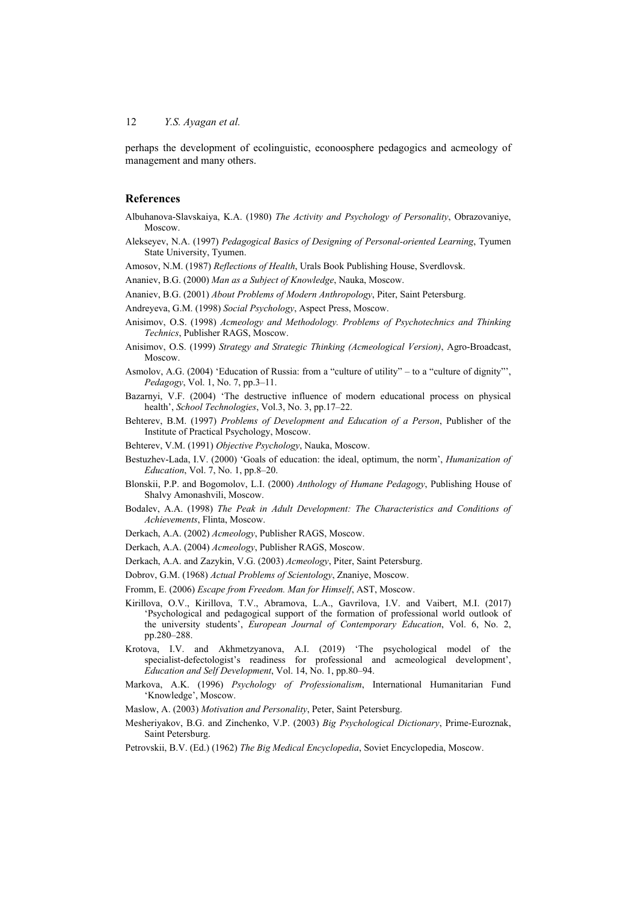perhaps the development of ecolinguistic, econoosphere pedagogics and acmeology of management and many others.

#### **References**

- Albuhanova-Slavskaiya, K.A. (1980) *The Activity and Psychology of Personality*, Obrazovaniye, Moscow.
- Alekseyev, N.A. (1997) *Pedagogical Basics of Designing of Personal-oriented Learning*, Tyumen State University, Tyumen.
- Amosov, N.M. (1987) *Reflections of Health*, Urals Book Publishing House, Sverdlovsk.
- Ananiev, B.G. (2000) *Man as a Subject of Knowledge*, Nauka, Moscow.
- Ananiev, B.G. (2001) *About Problems of Modern Anthropology*, Piter, Saint Petersburg.
- Andreyeva, G.M. (1998) *Social Psychology*, Aspect Press, Moscow.
- Anisimov, O.S. (1998) *Acmeology and Methodology. Problems of Psychotechnics and Thinking Technics*, Publisher RAGS, Moscow.
- Anisimov, O.S. (1999) *Strategy and Strategic Thinking (Acmeological Version)*, Agro-Broadcast, Moscow.
- Asmolov, A.G. (2004) 'Education of Russia: from a "culture of utility" to a "culture of dignity"', *Pedagogy*, Vol. 1, No. 7, pp.3–11.
- Bazarnyi, V.F. (2004) 'The destructive influence of modern educational process on physical health', *School Technologies*, Vol.3, No. 3, pp.17–22.
- Behterev, B.M. (1997) *Problems of Development and Education of a Person*, Publisher of the Institute of Practical Psychology, Moscow.
- Behterev, V.M. (1991) *Objective Psychology*, Nauka, Moscow.
- Bestuzhev-Lada, I.V. (2000) 'Goals of education: the ideal, optimum, the norm', *Humanization of Education*, Vol. 7, No. 1, pp.8–20.
- Blonskii, P.P. and Bogomolov, L.I. (2000) *Anthology of Humane Pedagogy*, Publishing House of Shalvy Amonashvili, Moscow.
- Bodalev, A.A. (1998) *The Peak in Adult Development: The Characteristics and Conditions of Achievements*, Flinta, Moscow.
- Derkach, A.A. (2002) *Acmeology*, Publisher RAGS, Moscow.
- Derkach, A.A. (2004) *Acmeology*, Publisher RAGS, Moscow.
- Derkach, A.A. and Zazykin, V.G. (2003) *Acmeology*, Piter, Saint Petersburg.
- Dobrov, G.M. (1968) *Actual Problems of Scientology*, Znaniye, Moscow.
- Fromm, E. (2006) *Escape from Freedom. Man for Himself*, AST, Moscow.
- Kirillova, O.V., Kirillova, T.V., Abramova, L.A., Gavrilova, I.V. and Vaibert, M.I. (2017) 'Psychological and pedagogical support of the formation of professional world outlook of the university students', *European Journal of Contemporary Education*, Vol. 6, No. 2, pp.280–288.
- Krotova, I.V. and Akhmetzyanova, A.I. (2019) 'The psychological model of the specialist-defectologist's readiness for professional and acmeological development', *Education and Self Development*, Vol. 14, No. 1, pp.80–94.
- Markova, A.K. (1996) *Psychology of Professionalism*, International Humanitarian Fund 'Knowledge', Moscow.
- Maslow, A. (2003) *Motivation and Personality*, Peter, Saint Petersburg.
- Mesheriyakov, B.G. and Zinchenko, V.P. (2003) *Big Psychological Dictionary*, Prime-Euroznak, Saint Petersburg.
- Petrovskii, B.V. (Ed.) (1962) *The Big Medical Encyclopedia*, Soviet Encyclopedia, Moscow.